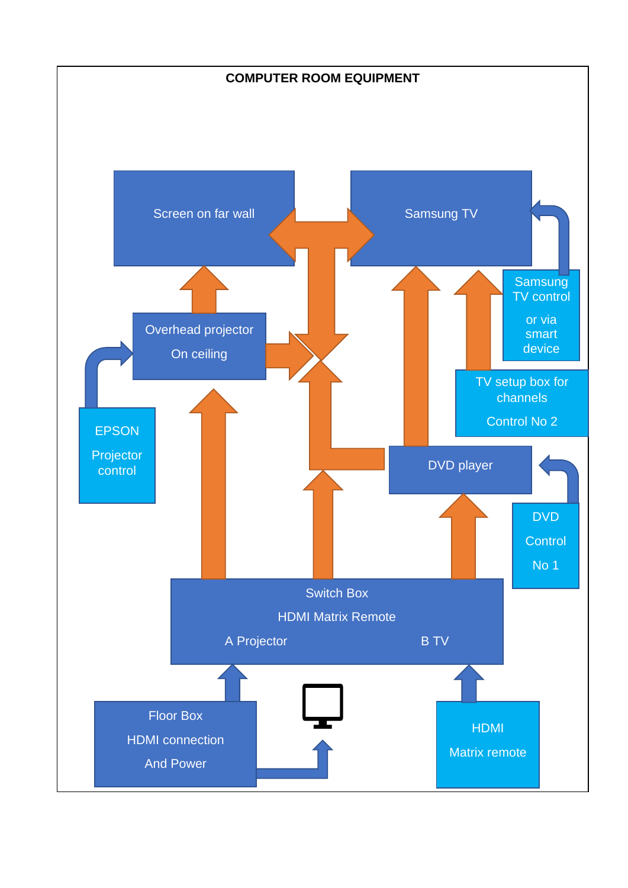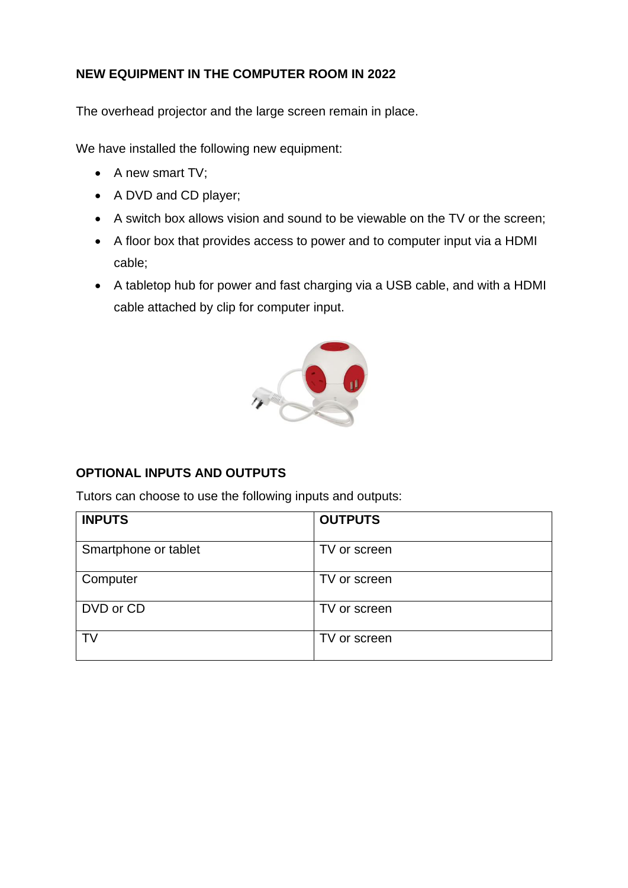# **NEW EQUIPMENT IN THE COMPUTER ROOM IN 2022**

The overhead projector and the large screen remain in place.

We have installed the following new equipment:

- A new smart TV;
- A DVD and CD player;
- A switch box allows vision and sound to be viewable on the TV or the screen;
- A floor box that provides access to power and to computer input via a HDMI cable;
- A tabletop hub for power and fast charging via a USB cable, and with a HDMI cable attached by clip for computer input.



# **OPTIONAL INPUTS AND OUTPUTS**

Tutors can choose to use the following inputs and outputs:

| <b>INPUTS</b>        | <b>OUTPUTS</b> |
|----------------------|----------------|
| Smartphone or tablet | TV or screen   |
| Computer             | TV or screen   |
| DVD or CD            | TV or screen   |
| TV                   | TV or screen   |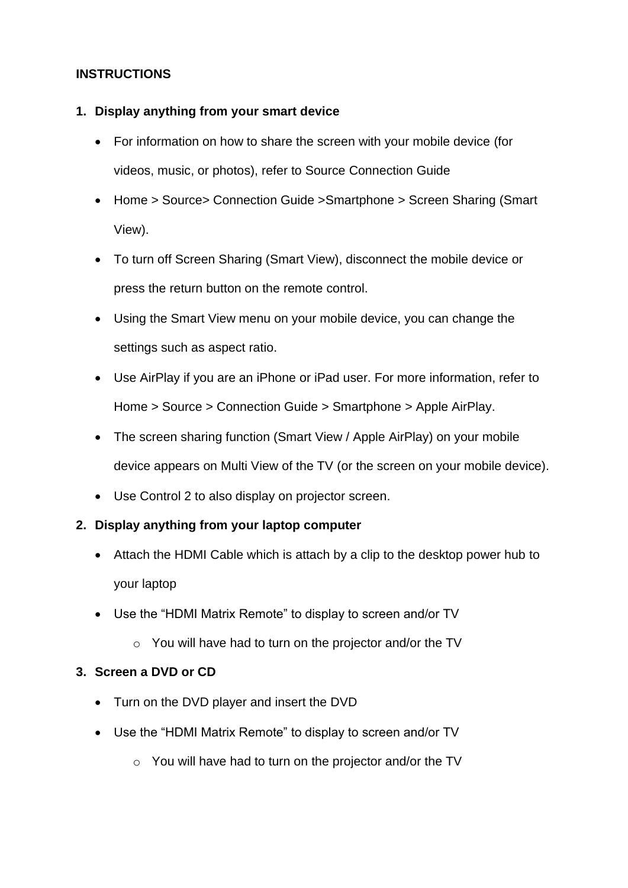## **INSTRUCTIONS**

#### **1. Display anything from your smart device**

- For information on how to share the screen with your mobile device (for videos, music, or photos), refer to Source Connection Guide
- Home > Source> Connection Guide >Smartphone > Screen Sharing (Smart View).
- To turn off Screen Sharing (Smart View), disconnect the mobile device or press the return button on the remote control.
- Using the Smart View menu on your mobile device, you can change the settings such as aspect ratio.
- Use AirPlay if you are an iPhone or iPad user. For more information, refer to Home > Source > Connection Guide > Smartphone > Apple AirPlay.
- The screen sharing function (Smart View / Apple AirPlay) on your mobile device appears on Multi View of the TV (or the screen on your mobile device).
- Use Control 2 to also display on projector screen.

### **2. Display anything from your laptop computer**

- Attach the HDMI Cable which is attach by a clip to the desktop power hub to your laptop
- Use the "HDMI Matrix Remote" to display to screen and/or TV
	- o You will have had to turn on the projector and/or the TV

### **3. Screen a DVD or CD**

- Turn on the DVD player and insert the DVD
- Use the "HDMI Matrix Remote" to display to screen and/or TV
	- o You will have had to turn on the projector and/or the TV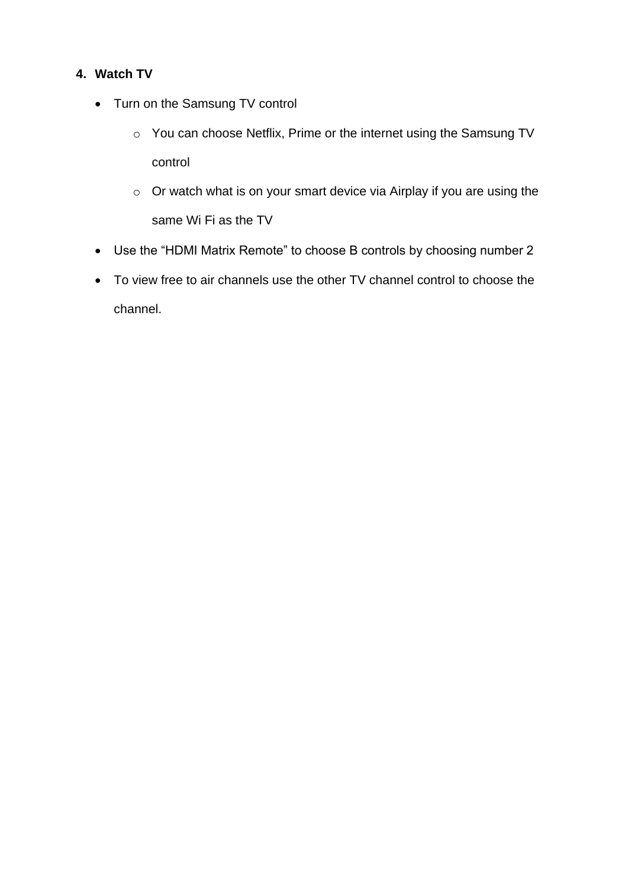## **4. Watch TV**

- Turn on the Samsung TV control
	- o You can choose Netflix, Prime or the internet using the Samsung TV control
	- o Or watch what is on your smart device via Airplay if you are using the same Wi Fi as the TV
- Use the "HDMI Matrix Remote" to choose B controls by choosing number 2
- To view free to air channels use the other TV channel control to choose the channel.